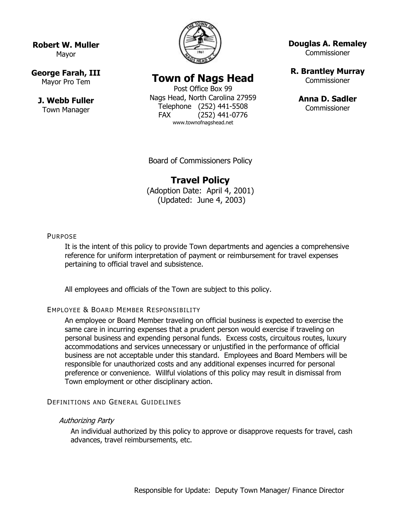**Robert W. Muller** Mayor

## **George Farah, III**

Mayor Pro Tem

**J. Webb Fuller** Town Manager



# **Town of Nags Head**

Post Office Box 99 Nags Head, North Carolina 27959 Telephone (252) 441-5508 FAX (252) 441-0776 www.townofnagshead.net

**Douglas A. Remaley**

**Commissioner** 

**R. Brantley Murray** Commissioner

> **Anna D. Sadler Commissioner**

Board of Commissioners Policy

## **Travel Policy**

(Adoption Date: April 4, 2001) (Updated: June 4, 2003)

## PURPOSE

It is the intent of this policy to provide Town departments and agencies a comprehensive reference for uniform interpretation of payment or reimbursement for travel expenses pertaining to official travel and subsistence.

All employees and officials of the Town are subject to this policy.

## EMPLOYEE & BOARD MEMBER RESPONSIBILITY

An employee or Board Member traveling on official business is expected to exercise the same care in incurring expenses that a prudent person would exercise if traveling on personal business and expending personal funds. Excess costs, circuitous routes, luxury accommodations and services unnecessary or unjustified in the performance of official business are not acceptable under this standard. Employees and Board Members will be responsible for unauthorized costs and any additional expenses incurred for personal preference or convenience. Willful violations of this policy may result in dismissal from Town employment or other disciplinary action.

#### DEFINITIONS AND GENERAL GUIDELINES

#### Authorizing Party

An individual authorized by this policy to approve or disapprove requests for travel, cash advances, travel reimbursements, etc.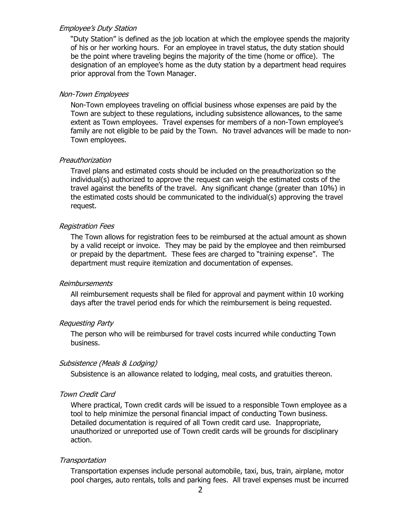#### Employee's Duty Station

"Duty Station" is defined as the job location at which the employee spends the majority of his or her working hours. For an employee in travel status, the duty station should be the point where traveling begins the majority of the time (home or office). The designation of an employee's home as the duty station by a department head requires prior approval from the Town Manager.

## Non-Town Employees

Non-Town employees traveling on official business whose expenses are paid by the Town are subject to these regulations, including subsistence allowances, to the same extent as Town employees. Travel expenses for members of a non-Town employee's family are not eligible to be paid by the Town. No travel advances will be made to non-Town employees.

## **Preauthorization**

Travel plans and estimated costs should be included on the preauthorization so the individual(s) authorized to approve the request can weigh the estimated costs of the travel against the benefits of the travel. Any significant change (greater than 10%) in the estimated costs should be communicated to the individual(s) approving the travel request.

## Registration Fees

The Town allows for registration fees to be reimbursed at the actual amount as shown by a valid receipt or invoice. They may be paid by the employee and then reimbursed or prepaid by the department. These fees are charged to "training expense". The department must require itemization and documentation of expenses.

## Reimbursements

All reimbursement requests shall be filed for approval and payment within 10 working days after the travel period ends for which the reimbursement is being requested.

## Requesting Party

The person who will be reimbursed for travel costs incurred while conducting Town business.

## Subsistence (Meals & Lodging)

Subsistence is an allowance related to lodging, meal costs, and gratuities thereon.

## Town Credit Card

Where practical, Town credit cards will be issued to a responsible Town employee as a tool to help minimize the personal financial impact of conducting Town business. Detailed documentation is required of all Town credit card use. Inappropriate, unauthorized or unreported use of Town credit cards will be grounds for disciplinary action.

## **Transportation**

Transportation expenses include personal automobile, taxi, bus, train, airplane, motor pool charges, auto rentals, tolls and parking fees. All travel expenses must be incurred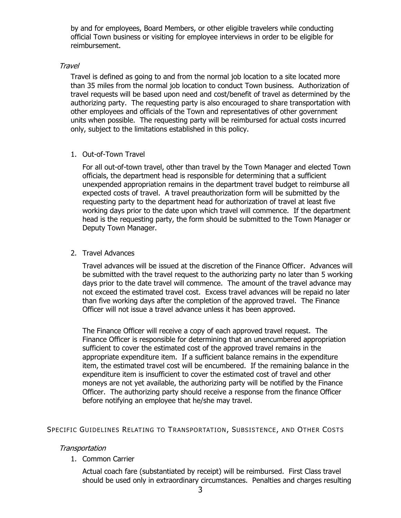by and for employees, Board Members, or other eligible travelers while conducting official Town business or visiting for employee interviews in order to be eligible for reimbursement.

## **Travel**

Travel is defined as going to and from the normal job location to a site located more than 35 miles from the normal job location to conduct Town business. Authorization of travel requests will be based upon need and cost/benefit of travel as determined by the authorizing party. The requesting party is also encouraged to share transportation with other employees and officials of the Town and representatives of other government units when possible. The requesting party will be reimbursed for actual costs incurred only, subject to the limitations established in this policy.

1. Out-of-Town Travel

For all out-of-town travel, other than travel by the Town Manager and elected Town officials, the department head is responsible for determining that a sufficient unexpended appropriation remains in the department travel budget to reimburse all expected costs of travel. A travel preauthorization form will be submitted by the requesting party to the department head for authorization of travel at least five working days prior to the date upon which travel will commence. If the department head is the requesting party, the form should be submitted to the Town Manager or Deputy Town Manager.

## 2. Travel Advances

Travel advances will be issued at the discretion of the Finance Officer. Advances will be submitted with the travel request to the authorizing party no later than 5 working days prior to the date travel will commence. The amount of the travel advance may not exceed the estimated travel cost. Excess travel advances will be repaid no later than five working days after the completion of the approved travel. The Finance Officer will not issue a travel advance unless it has been approved.

The Finance Officer will receive a copy of each approved travel request. The Finance Officer is responsible for determining that an unencumbered appropriation sufficient to cover the estimated cost of the approved travel remains in the appropriate expenditure item. If a sufficient balance remains in the expenditure item, the estimated travel cost will be encumbered. If the remaining balance in the expenditure item is insufficient to cover the estimated cost of travel and other moneys are not yet available, the authorizing party will be notified by the Finance Officer. The authorizing party should receive a response from the finance Officer before notifying an employee that he/she may travel.

## SPECIFIC GUIDELINES RELATING TO TRANSPORTATION, SUBSISTENCE, AND OTHER COSTS

## **Transportation**

1. Common Carrier

Actual coach fare (substantiated by receipt) will be reimbursed. First Class travel should be used only in extraordinary circumstances. Penalties and charges resulting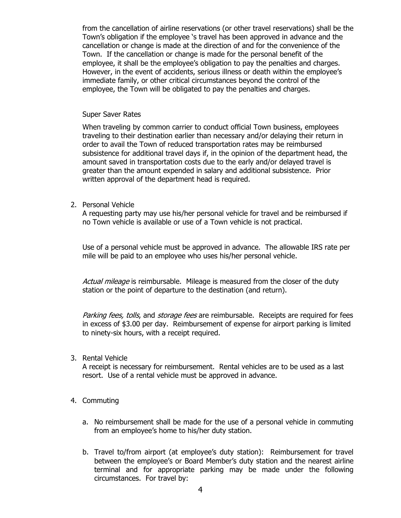from the cancellation of airline reservations (or other travel reservations) shall be the Town's obligation if the employee 's travel has been approved in advance and the cancellation or change is made at the direction of and for the convenience of the Town. If the cancellation or change is made for the personal benefit of the employee, it shall be the employee's obligation to pay the penalties and charges. However, in the event of accidents, serious illness or death within the employee's immediate family, or other critical circumstances beyond the control of the employee, the Town will be obligated to pay the penalties and charges.

#### Super Saver Rates

When traveling by common carrier to conduct official Town business, employees traveling to their destination earlier than necessary and/or delaying their return in order to avail the Town of reduced transportation rates may be reimbursed subsistence for additional travel days if, in the opinion of the department head, the amount saved in transportation costs due to the early and/or delayed travel is greater than the amount expended in salary and additional subsistence. Prior written approval of the department head is required.

2. Personal Vehicle

A requesting party may use his/her personal vehicle for travel and be reimbursed if no Town vehicle is available or use of a Town vehicle is not practical.

Use of a personal vehicle must be approved in advance. The allowable IRS rate per mile will be paid to an employee who uses his/her personal vehicle.

Actual mileage is reimbursable. Mileage is measured from the closer of the duty station or the point of departure to the destination (and return).

Parking fees, tolls, and storage fees are reimbursable. Receipts are required for fees in excess of \$3.00 per day. Reimbursement of expense for airport parking is limited to ninety-six hours, with a receipt required.

3. Rental Vehicle

A receipt is necessary for reimbursement. Rental vehicles are to be used as a last resort. Use of a rental vehicle must be approved in advance.

- 4. Commuting
	- a. No reimbursement shall be made for the use of a personal vehicle in commuting from an employee's home to his/her duty station.
	- b. Travel to/from airport (at employee's duty station): Reimbursement for travel between the employee's or Board Member's duty station and the nearest airline terminal and for appropriate parking may be made under the following circumstances. For travel by: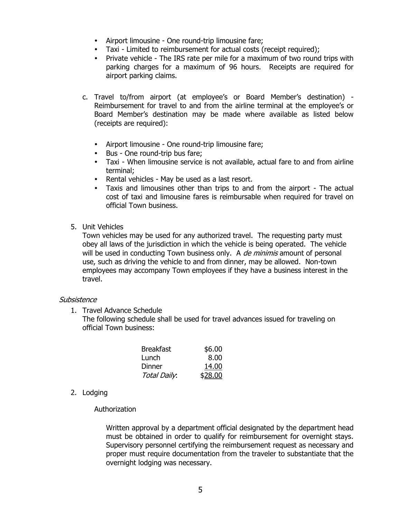- Airport limousine One round-trip limousine fare;
- Taxi Limited to reimbursement for actual costs (receipt required);
- Private vehicle The IRS rate per mile for a maximum of two round trips with parking charges for a maximum of 96 hours. Receipts are required for airport parking claims.
- c. Travel to/from airport (at employee's or Board Member's destination) Reimbursement for travel to and from the airline terminal at the employee's or Board Member's destination may be made where available as listed below (receipts are required):
	- Airport limousine One round-trip limousine fare;
	- Bus One round-trip bus fare;
	- Taxi When limousine service is not available, actual fare to and from airline terminal;
	- Rental vehicles May be used as a last resort.
	- Taxis and limousines other than trips to and from the airport The actual cost of taxi and limousine fares is reimbursable when required for travel on official Town business.
- 5. Unit Vehicles

Town vehicles may be used for any authorized travel. The requesting party must obey all laws of the jurisdiction in which the vehicle is being operated. The vehicle will be used in conducting Town business only. A *de minimis* amount of personal use, such as driving the vehicle to and from dinner, may be allowed. Non-town employees may accompany Town employees if they have a business interest in the travel.

## **Subsistence**

1. Travel Advance Schedule

The following schedule shall be used for travel advances issued for traveling on official Town business:

| <b>Breakfast</b> | \$6.00         |
|------------------|----------------|
| Lunch            | 8.00           |
| Dinner           | 14.00          |
| Total Daily.     | <u>\$28.00</u> |

2. Lodging

## Authorization

Written approval by a department official designated by the department head must be obtained in order to qualify for reimbursement for overnight stays. Supervisory personnel certifying the reimbursement request as necessary and proper must require documentation from the traveler to substantiate that the overnight lodging was necessary.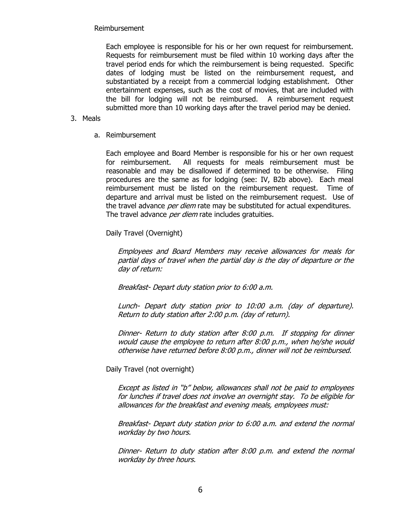Reimbursement

Each employee is responsible for his or her own request for reimbursement. Requests for reimbursement must be filed within 10 working days after the travel period ends for which the reimbursement is being requested. Specific dates of lodging must be listed on the reimbursement request, and substantiated by a receipt from a commercial lodging establishment. Other entertainment expenses, such as the cost of movies, that are included with the bill for lodging will not be reimbursed. A reimbursement request submitted more than 10 working days after the travel period may be denied.

- 3. Meals
	- a. Reimbursement

Each employee and Board Member is responsible for his or her own request for reimbursement. All requests for meals reimbursement must be reasonable and may be disallowed if determined to be otherwise. Filing procedures are the same as for lodging (see: IV, B2b above). Each meal reimbursement must be listed on the reimbursement request. Time of departure and arrival must be listed on the reimbursement request. Use of the travel advance *per diem* rate may be substituted for actual expenditures. The travel advance *per diem* rate includes gratuities.

Daily Travel (Overnight)

Employees and Board Members may receive allowances for meals for partial days of travel when the partial day is the day of departure or the day of return:

Breakfast- Depart duty station prior to 6:00 a.m.

Lunch- Depart duty station prior to 10:00 a.m. (day of departure). Return to duty station after 2:00 p.m. (day of return).

Dinner- Return to duty station after 8:00 p.m. If stopping for dinner would cause the employee to return after 8:00 p.m., when he/she would otherwise have returned before 8:00 p.m., dinner will not be reimbursed.

Daily Travel (not overnight)

Except as listed in "b" below, allowances shall not be paid to employees for lunches if travel does not involve an overnight stay. To be eligible for allowances for the breakfast and evening meals, employees must:

Breakfast- Depart duty station prior to 6:00 a.m. and extend the normal workday by two hours.

Dinner- Return to duty station after 8:00 p.m. and extend the normal workday by three hours.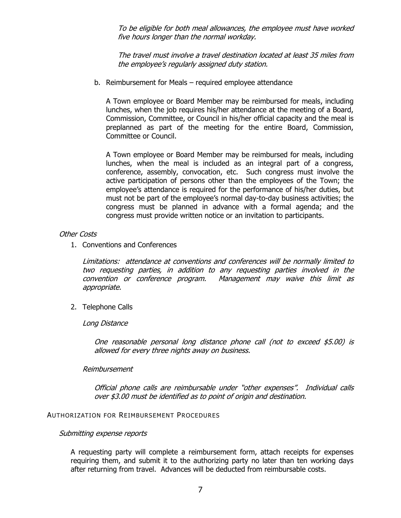To be eligible for both meal allowances, the employee must have worked five hours longer than the normal workday.

The travel must involve a travel destination located at least 35 miles from the employee's regularly assigned duty station.

b. Reimbursement for Meals – required employee attendance

A Town employee or Board Member may be reimbursed for meals, including lunches, when the job requires his/her attendance at the meeting of a Board, Commission, Committee, or Council in his/her official capacity and the meal is preplanned as part of the meeting for the entire Board, Commission, Committee or Council.

A Town employee or Board Member may be reimbursed for meals, including lunches, when the meal is included as an integral part of a congress, conference, assembly, convocation, etc. Such congress must involve the active participation of persons other than the employees of the Town; the employee's attendance is required for the performance of his/her duties, but must not be part of the employee's normal day-to-day business activities; the congress must be planned in advance with a formal agenda; and the congress must provide written notice or an invitation to participants.

#### Other Costs

1. Conventions and Conferences

Limitations: attendance at conventions and conferences will be normally limited to two requesting parties, in addition to any requesting parties involved in the convention or conference program. Management may waive this limit as appropriate.

2. Telephone Calls

Long Distance

One reasonable personal long distance phone call (not to exceed \$5.00) is allowed for every three nights away on business.

#### Reimbursement

Official phone calls are reimbursable under "other expenses". Individual calls over \$3.00 must be identified as to point of origin and destination.

#### AUTHORIZATION FOR REIMBURSEMENT PROCEDURES

#### Submitting expense reports

A requesting party will complete a reimbursement form, attach receipts for expenses requiring them, and submit it to the authorizing party no later than ten working days after returning from travel. Advances will be deducted from reimbursable costs.